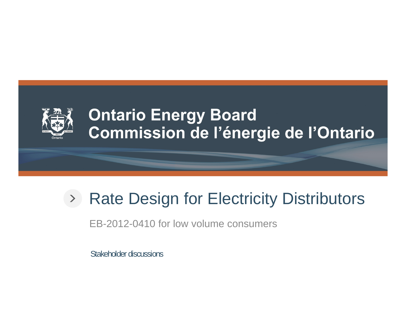

## **Ontario Energy Board** Commission de l'énergie de l'Ontario

# Rate Design for Electricity Distributors

EB-2012-0410 for low volume consumers

Stakeholder discussions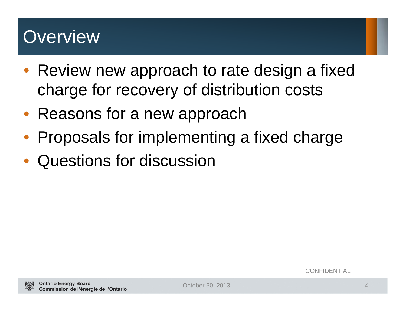# **Overview**

- Review new approach to rate design a fixed charge for recovery of distribution costs
- Reasons for a new approach
- $\bullet$ Proposals for implementing a fixed charge
- Questions for discussion

**CONFIDENTIAL**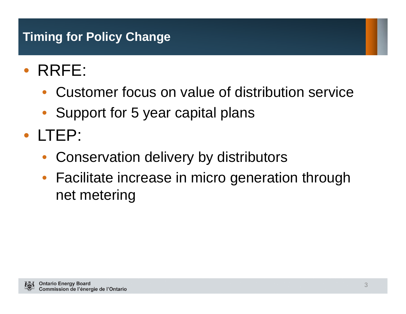## **Timing for Policy Change**

- $\bullet$  RRFE:
	- $\bullet$ Customer focus on value of distribution service
	- $\bullet$ Support for 5 year capital plans
- LTEP:
	- •Conservation delivery by distributors
	- $\bullet$  Facilitate increase in micro generation through net metering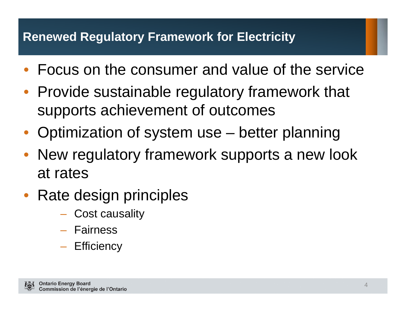#### **Renewed Regulatory Framework for Electricity**

- Focus on the consumer and value of the service
- Provide sustainable regulatory framework that supports achievement of outcomes
- Optimization of system use better planning
- $\bullet$  New regulatory framework supports a new look at rates
- Rate design principles
	- Cost causality
	- Fairness
	- Efficiency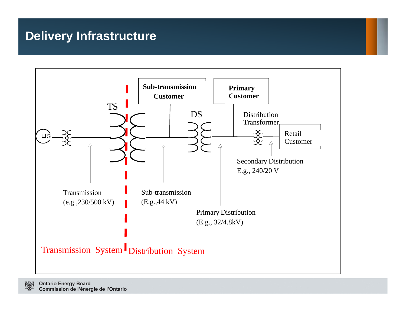## **Delivery Infrastructure**

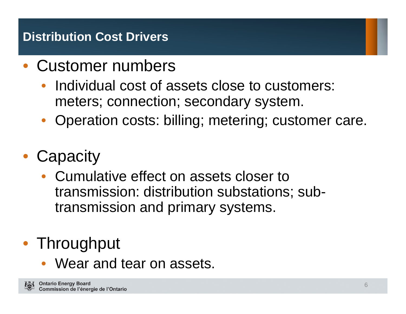## **Distribution Cost Drivers**

- $\bullet$  Customer numbers
	- $\bullet$  Individual cost of assets close to customers: meters; connection; secondary system.
	- Operation costs: billing; metering; customer care.
- Capacity
	- Cumulative effect on assets closer to transmission: distribution substations; subtransmission and primary systems.

# • Throughput

 $\bullet$ Wear and tear on assets.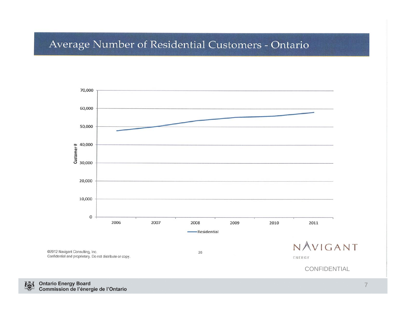#### Average Number of Residential Customers - Ontario

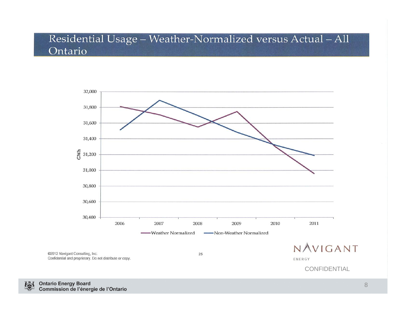#### Residential Usage - Weather-Normalized versus Actual - All Ontario



**CONFIDENTIAL** 

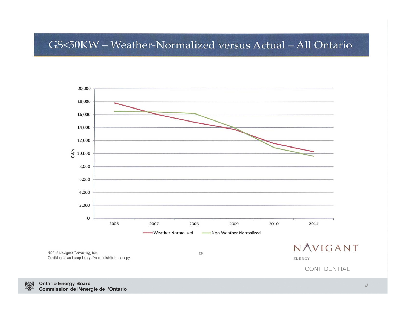#### GS<50KW - Weather-Normalized versus Actual - All Ontario



**CONFIDENTIAL**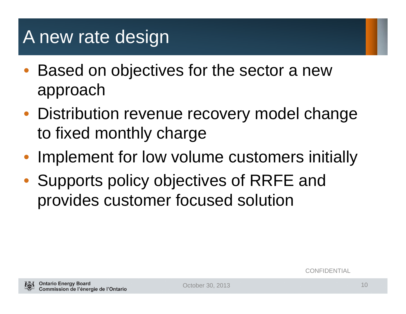# A new rate design

- $\bullet$  Based on objectives for the sector a new approach
- Distribution revenue recovery model change to fixed monthly charge
- Implement for low volume customers initially
- Supports policy objectives of RRFE and provides customer focused solution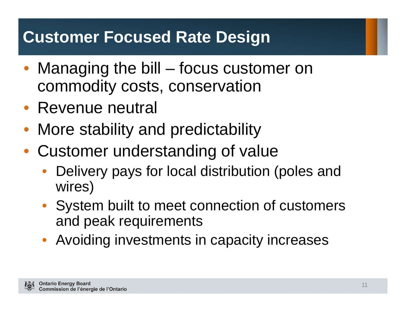## **Customer Focused Rate Design**

- Managing the bill focus customer on commodity costs, conservation
- Revenue neutral
- $\bullet$ More stability and predictability
- Customer understanding of value
	- • Delivery pays for local distribution (poles and wires)
	- System built to meet connection of customers and peak requirements
	- $\bullet$ Avoiding investments in capacity increases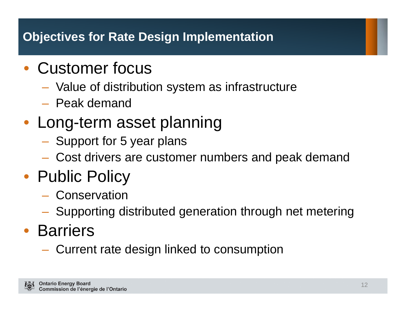## **Objectives for Rate Design Implementation**

## • Customer focus

- Value of distribution system as infrastructure
- Peak demand
- Long-term asset planning
	- Support for 5 year plans
	- Cost drivers are customer numbers and peak demand
- Public Policy
	- Conservation
	- Supporting distributed generation through net metering

# • Barriers

**Hart Communication** Current rate design linked to consumption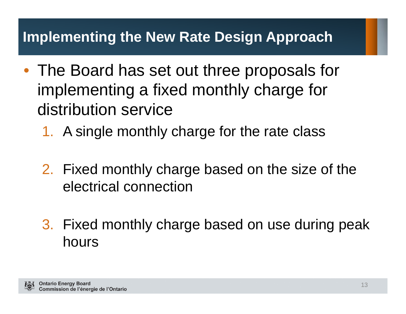## **Implementing the New Rate Design Approach**

- The Board has set out three proposals for implementing a fixed monthly charge for distribution service
	- 1. A single monthly charge for the rate class
	- 2. Fixed monthly charge based on the size of the electrical connection
	- 3. Fixed monthly charge based on use during peak hours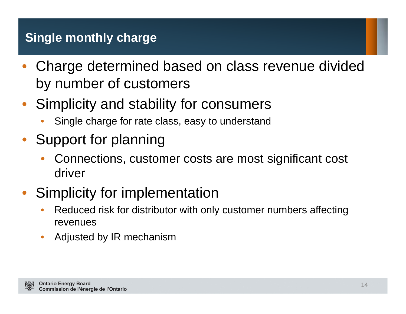## **Single monthly charge**

- $\bullet$  Charge determined based on class revenue divided by number of customers
- Simplicity and stability for consumers
	- •Single charge for rate class, easy to understand
- Support for planning
	- • Connections, customer costs are most significant cost driver
- $\bullet$  Simplicity for implementation
	- $\bullet$  Reduced risk for distributor with only customer numbers affecting revenues
	- $\bullet$ Adjusted by IR mechanism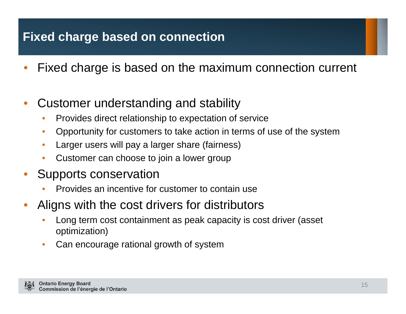## **Fixed charge based on connection**

- •Fixed charge is based on the maximum connection current
- • Customer understanding and stability
	- •Provides direct relationship to expectation of service
	- $\bullet$ Opportunity for customers to take action in terms of use of the system
	- •Larger users will pay a larger share (fairness)
	- •Customer can choose to join a lower group
- • Supports conservation
	- •Provides an incentive for customer to contain use
- • Aligns with the cost drivers for distributors
	- • Long term cost containment as peak capacity is cost driver (asset optimization)
	- •Can encourage rational growth of system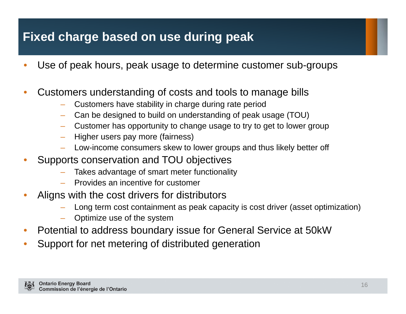### **Fixed charge based on use during peak**

- •Use of peak hours, peak usage to determine customer sub-groups
- • Customers understanding of costs and tools to manage bills
	- Customers have stability in charge during rate period
	- –Can be designed to build on understanding of peak usage (TOU)
	- Customer has opportunity to change usage to try to get to lower group
	- Higher users pay more (fairness)
	- Low-income consumers skew to lower groups and thus likely better off
- • Supports conservation and TOU objectives
	- Takes advantage of smart meter functionality
	- Provides an incentive for customer
- • Aligns with the cost drivers for distributors
	- Long term cost containment as peak capacity is cost driver (asset optimization)
	- Optimize use of the system
- •Potential to address boundary issue for General Service at 50kW
- $\bullet$ Support for net metering of distributed generation